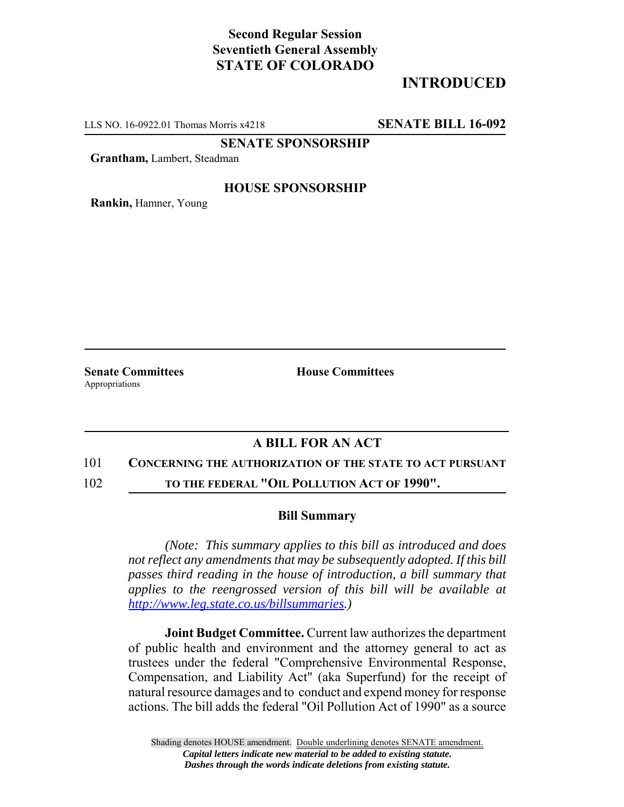# **Second Regular Session Seventieth General Assembly STATE OF COLORADO**

# **INTRODUCED**

LLS NO. 16-0922.01 Thomas Morris x4218 **SENATE BILL 16-092**

**SENATE SPONSORSHIP**

**Grantham,** Lambert, Steadman

## **HOUSE SPONSORSHIP**

**Rankin,** Hamner, Young

Appropriations

**Senate Committees House Committees** 

## **A BILL FOR AN ACT**

### 101 **CONCERNING THE AUTHORIZATION OF THE STATE TO ACT PURSUANT**

102 **TO THE FEDERAL "OIL POLLUTION ACT OF 1990".**

#### **Bill Summary**

*(Note: This summary applies to this bill as introduced and does not reflect any amendments that may be subsequently adopted. If this bill passes third reading in the house of introduction, a bill summary that applies to the reengrossed version of this bill will be available at http://www.leg.state.co.us/billsummaries.)*

**Joint Budget Committee.** Current law authorizes the department of public health and environment and the attorney general to act as trustees under the federal "Comprehensive Environmental Response, Compensation, and Liability Act" (aka Superfund) for the receipt of natural resource damages and to conduct and expend money for response actions. The bill adds the federal "Oil Pollution Act of 1990" as a source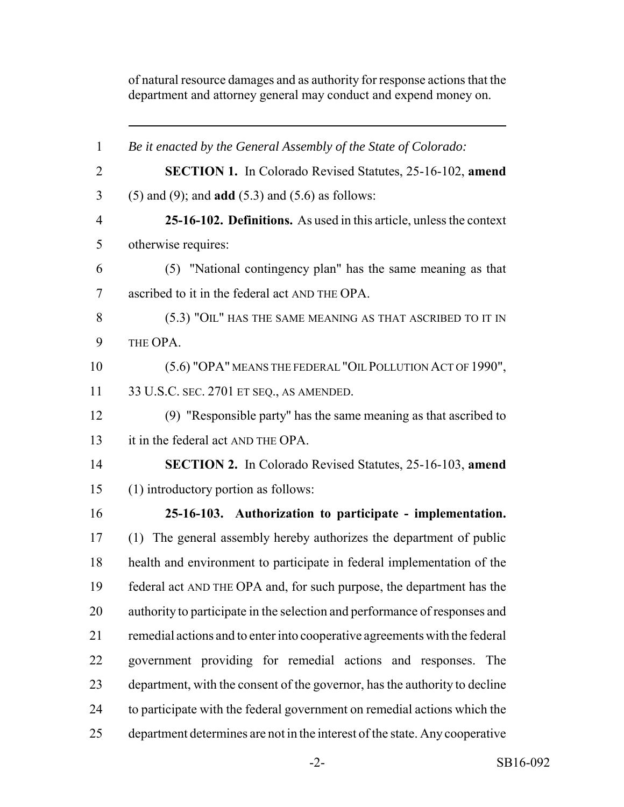of natural resource damages and as authority for response actions that the department and attorney general may conduct and expend money on.

 *Be it enacted by the General Assembly of the State of Colorado:* **SECTION 1.** In Colorado Revised Statutes, 25-16-102, **amend** (5) and (9); and **add** (5.3) and (5.6) as follows: **25-16-102. Definitions.** As used in this article, unless the context otherwise requires: (5) "National contingency plan" has the same meaning as that ascribed to it in the federal act AND THE OPA. (5.3) "OIL" HAS THE SAME MEANING AS THAT ASCRIBED TO IT IN THE OPA. 10 (5.6) "OPA" MEANS THE FEDERAL "OIL POLLUTION ACT OF 1990", 33 U.S.C. SEC. 2701 ET SEQ., AS AMENDED. (9) "Responsible party" has the same meaning as that ascribed to 13 it in the federal act AND THE OPA. **SECTION 2.** In Colorado Revised Statutes, 25-16-103, **amend** (1) introductory portion as follows: **25-16-103. Authorization to participate - implementation.** (1) The general assembly hereby authorizes the department of public health and environment to participate in federal implementation of the federal act AND THE OPA and, for such purpose, the department has the authority to participate in the selection and performance of responses and remedial actions and to enter into cooperative agreements with the federal government providing for remedial actions and responses. The department, with the consent of the governor, has the authority to decline to participate with the federal government on remedial actions which the department determines are not in the interest of the state. Any cooperative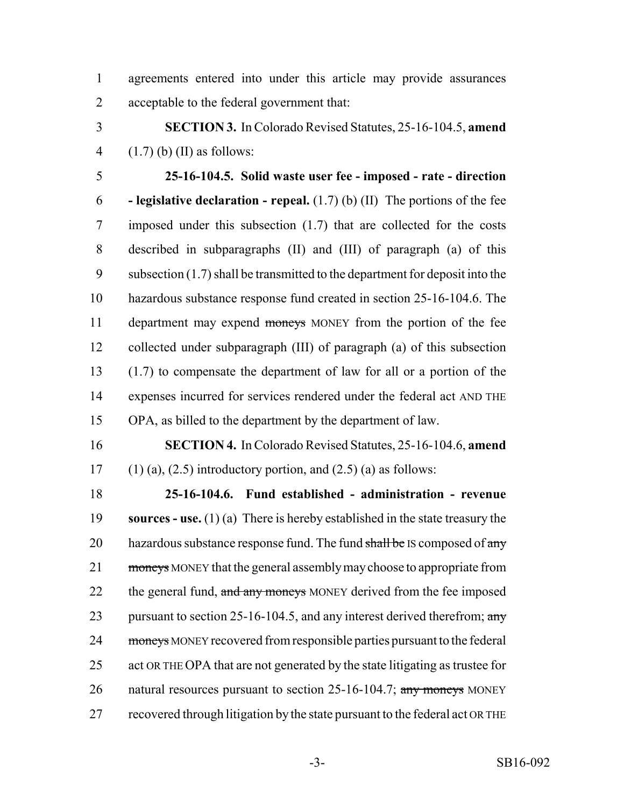- agreements entered into under this article may provide assurances acceptable to the federal government that:
- **SECTION 3.** In Colorado Revised Statutes, 25-16-104.5, **amend** 4  $(1.7)$  (b) (II) as follows:

 **25-16-104.5. Solid waste user fee - imposed - rate - direction - legislative declaration - repeal.** (1.7) (b) (II) The portions of the fee imposed under this subsection (1.7) that are collected for the costs described in subparagraphs (II) and (III) of paragraph (a) of this subsection (1.7) shall be transmitted to the department for deposit into the hazardous substance response fund created in section 25-16-104.6. The 11 department may expend moneys MONEY from the portion of the fee collected under subparagraph (III) of paragraph (a) of this subsection (1.7) to compensate the department of law for all or a portion of the expenses incurred for services rendered under the federal act AND THE OPA, as billed to the department by the department of law.

 **SECTION 4.** In Colorado Revised Statutes, 25-16-104.6, **amend** 17 (1) (a), (2.5) introductory portion, and (2.5) (a) as follows:

 **25-16-104.6. Fund established - administration - revenue sources - use.** (1) (a) There is hereby established in the state treasury the 20 hazardous substance response fund. The fund  $\frac{\text{shall}}{\text{be}}$  IS composed of  $\frac{\text{any}}{\text{an}}$ 21 moneys MONEY that the general assembly may choose to appropriate from 22 the general fund, and any moneys MONEY derived from the fee imposed 23 pursuant to section 25-16-104.5, and any interest derived therefrom;  $\frac{any}{x}$ 24 moneys MONEY recovered from responsible parties pursuant to the federal act OR THE OPA that are not generated by the state litigating as trustee for 26 natural resources pursuant to section 25-16-104.7; any moneys MONEY recovered through litigation by the state pursuant to the federal act OR THE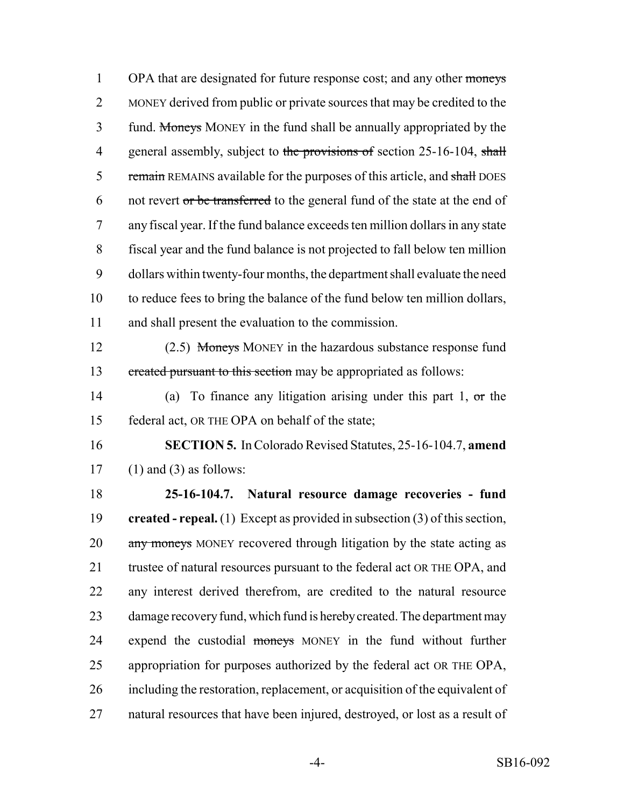1 OPA that are designated for future response cost; and any other moneys 2 MONEY derived from public or private sources that may be credited to the 3 fund. Moneys MONEY in the fund shall be annually appropriated by the 4 general assembly, subject to the provisions of section 25-16-104, shall 5 remain REMAINS available for the purposes of this article, and shall DOES 6 not revert or be transferred to the general fund of the state at the end of 7 any fiscal year. If the fund balance exceeds ten million dollars in any state 8 fiscal year and the fund balance is not projected to fall below ten million 9 dollars within twenty-four months, the department shall evaluate the need 10 to reduce fees to bring the balance of the fund below ten million dollars, 11 and shall present the evaluation to the commission.

12 (2.5) Moneys MONEY in the hazardous substance response fund 13 created pursuant to this section may be appropriated as follows:

14 (a) To finance any litigation arising under this part 1, or the 15 federal act, OR THE OPA on behalf of the state;

16 **SECTION 5.** In Colorado Revised Statutes, 25-16-104.7, **amend** 17 (1) and (3) as follows:

 **25-16-104.7. Natural resource damage recoveries - fund created - repeal.** (1) Except as provided in subsection (3) of this section, 20 any moneys MONEY recovered through litigation by the state acting as 21 trustee of natural resources pursuant to the federal act OR THE OPA, and any interest derived therefrom, are credited to the natural resource damage recovery fund, which fund is hereby created. The department may 24 expend the custodial moneys MONEY in the fund without further appropriation for purposes authorized by the federal act OR THE OPA, including the restoration, replacement, or acquisition of the equivalent of natural resources that have been injured, destroyed, or lost as a result of